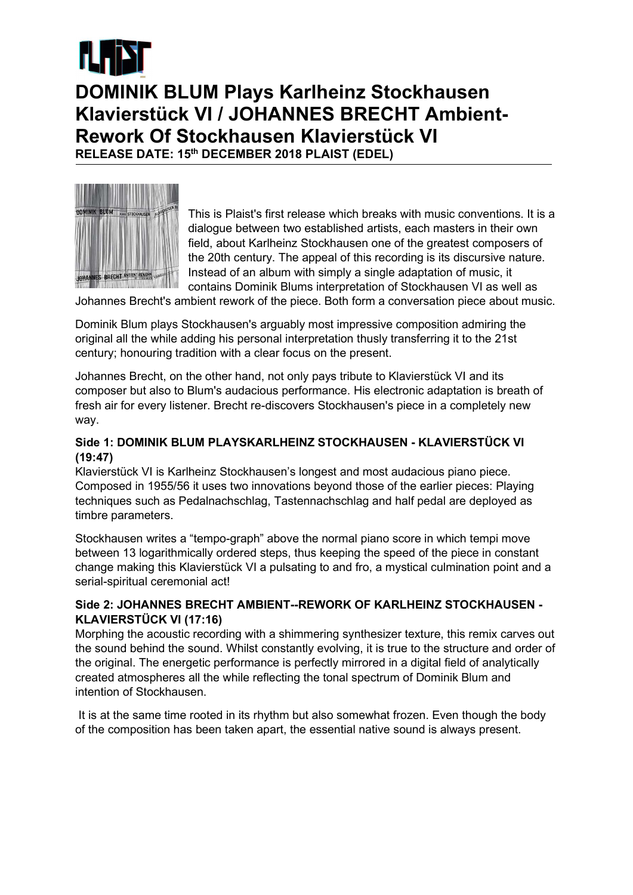

## DOMINIK BLUM Plays Karlheinz Stockhausen Klavierstück VI / JOHANNES BRECHT Ambient-Rework Of Stockhausen Klavierstück VI

RELEASE DATE: 15th DECEMBER 2018 PLAIST (EDEL)



This is Plaist's first release which breaks with music conventions. It is a dialogue between two established artists, each masters in their own field, about Karlheinz Stockhausen one of the greatest composers of the 20th century. The appeal of this recording is its discursive nature. Instead of an album with simply a single adaptation of music, it contains Dominik Blums interpretation of Stockhausen VI as well as

Johannes Brecht's ambient rework of the piece. Both form a conversation piece about music.

Dominik Blum plays Stockhausen's arguably most impressive composition admiring the original all the while adding his personal interpretation thusly transferring it to the 21st century; honouring tradition with a clear focus on the present.

Johannes Brecht, on the other hand, not only pays tribute to Klavierstück VI and its composer but also to Blum's audacious performance. His electronic adaptation is breath of fresh air for every listener. Brecht re-discovers Stockhausen's piece in a completely new way.

## Side 1: DOMINIK BLUM PLAYSKARLHEINZ STOCKHAUSEN - KLAVIERSTÜCK VI (19:47)

Klavierstück VI is Karlheinz Stockhausen's longest and most audacious piano piece. Composed in 1955/56 it uses two innovations beyond those of the earlier pieces: Playing techniques such as Pedalnachschlag, Tastennachschlag and half pedal are deployed as timbre parameters.

Stockhausen writes a "tempo-graph" above the normal piano score in which tempi move between 13 logarithmically ordered steps, thus keeping the speed of the piece in constant change making this Klavierstück VI a pulsating to and fro, a mystical culmination point and a serial-spiritual ceremonial act!

## Side 2: JOHANNES BRECHT AMBIENT--REWORK OF KARLHEINZ STOCKHAUSEN - KLAVIERSTÜCK VI (17:16)

Morphing the acoustic recording with a shimmering synthesizer texture, this remix carves out the sound behind the sound. Whilst constantly evolving, it is true to the structure and order of the original. The energetic performance is perfectly mirrored in a digital field of analytically created atmospheres all the while reflecting the tonal spectrum of Dominik Blum and intention of Stockhausen.

 It is at the same time rooted in its rhythm but also somewhat frozen. Even though the body of the composition has been taken apart, the essential native sound is always present.